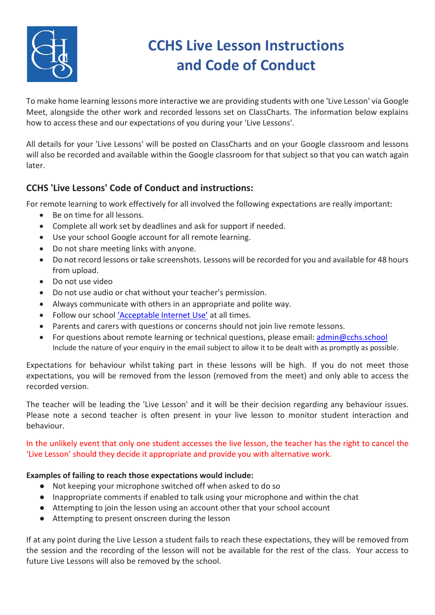

## **CCHS Live Lesson Instructions and Code of Conduct**

To make home learning lessons more interactive we are providing students with one 'Live Lesson' via Google Meet, alongside the other work and recorded lessons set on ClassCharts. The information below explains how to access these and our expectations of you during your 'Live Lessons'.

All details for your 'Live Lessons' will be posted on ClassCharts and on your Google classroom and lessons will also be recorded and available within the Google classroom for that subject so that you can watch again later.

## **CCHS 'Live Lessons' Code of Conduct and instructions:**

For remote learning to work effectively for all involved the following expectations are really important:

- Be on time for all lessons.
- Complete all work set by deadlines and ask for support if needed.
- Use your school Google account for all remote learning.
- Do not share meeting links with anyone.
- Do not record lessons or take screenshots. Lessons will be recorded for you and available for 48 hours from upload.
- Do not use video
- Do not use audio or chat without your teacher's permission.
- Always communicate with others in an appropriate and polite way.
- Follow our schoo[l 'Acceptable Internet Use'](https://www.countyhigh.org.uk/files/policies/it-acceptable-use-statement.pdf) at all times.
- Parents and carers with questions or concerns should not join live remote lessons.
- For questions about remote learning or technical questions, please email: [admin@cchs.school](mailto:admin@cchs.school) Include the nature of your enquiry in the email subject to allow it to be dealt with as promptly as possible.

Expectations for behaviour whilst taking part in these lessons will be high. If you do not meet those expectations, you will be removed from the lesson (removed from the meet) and only able to access the recorded version.

The teacher will be leading the 'Live Lesson' and it will be their decision regarding any behaviour issues. Please note a second teacher is often present in your live lesson to monitor student interaction and behaviour.

In the unlikely event that only one student accesses the live lesson, the teacher has the right to cancel the 'Live Lesson' should they decide it appropriate and provide you with alternative work.

## **Examples of failing to reach those expectations would include:**

- Not keeping your microphone switched off when asked to do so
- Inappropriate comments if enabled to talk using your microphone and within the chat
- Attempting to join the lesson using an account other that your school account
- Attempting to present onscreen during the lesson

If at any point during the Live Lesson a student fails to reach these expectations, they will be removed from the session and the recording of the lesson will not be available for the rest of the class. Your access to future Live Lessons will also be removed by the school.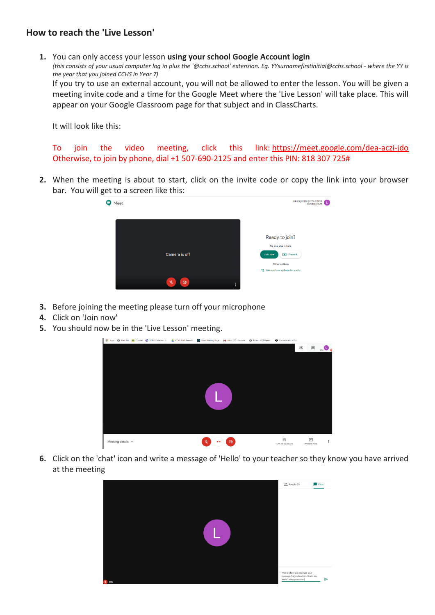## **How to reach the 'Live Lesson'**

**1.** You can only access your lesson **using your school Google Account login** *(this consists of your usual computer log in plus the '@cchs.school' extension. Eg. YYsurnamefirstinitial@cchs.school - where the YY is the year that you joined CCHS in Year 7)* If you try to use an external account, you will not be allowed to enter the lesson. You will be given a meeting invite code and a time for the Google Meet where the 'Live Lesson' will take place. This will appear on your Google Classroom page for that subject and in ClassCharts.

It will look like this:

To join the video meeting, click this link: <https://meet.google.com/dea-aczi-jdo> Otherwise, to join by phone, dial +1 507-690-2125 and enter this PIN: 818 307 725#

**2.** When the meeting is about to start, click on the invite code or copy the link into your browser bar. You will get to a screen like this:



- **3.** Before joining the meeting please turn off your microphone
- **4.** Click on 'Join now'
- **5.** You should now be in the 'Live Lesson' meeting.



**6.** Click on the 'chat' icon and write a message of 'Hello' to your teacher so they know you have arrived at the meeting